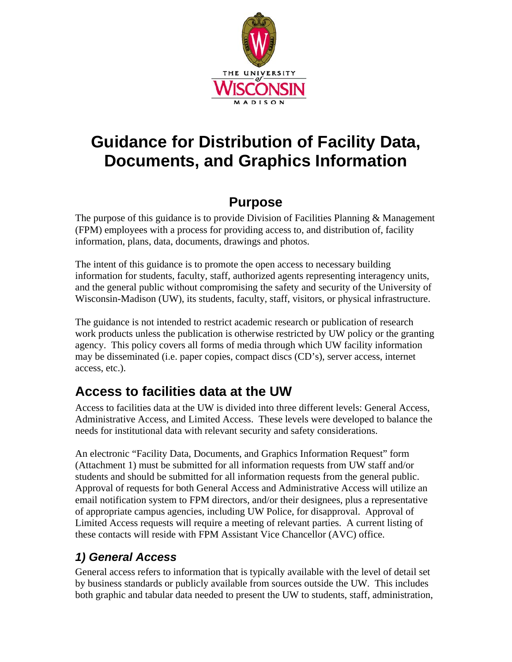

# **Guidance for Distribution of Facility Data, Documents, and Graphics Information**

## **Purpose**

The purpose of this guidance is to provide Division of Facilities Planning & Management (FPM) employees with a process for providing access to, and distribution of, facility information, plans, data, documents, drawings and photos.

The intent of this guidance is to promote the open access to necessary building information for students, faculty, staff, authorized agents representing interagency units, and the general public without compromising the safety and security of the University of Wisconsin-Madison (UW), its students, faculty, staff, visitors, or physical infrastructure.

The guidance is not intended to restrict academic research or publication of research work products unless the publication is otherwise restricted by UW policy or the granting agency. This policy covers all forms of media through which UW facility information may be disseminated (i.e. paper copies, compact discs (CD's), server access, internet access, etc.).

# **Access to facilities data at the UW**

Access to facilities data at the UW is divided into three different levels: General Access, Administrative Access, and Limited Access. These levels were developed to balance the needs for institutional data with relevant security and safety considerations.

An electronic "Facility Data, Documents, and Graphics Information Request" form (Attachment 1) must be submitted for all information requests from UW staff and/or students and should be submitted for all information requests from the general public. Approval of requests for both General Access and Administrative Access will utilize an email notification system to FPM directors, and/or their designees, plus a representative of appropriate campus agencies, including UW Police, for disapproval. Approval of Limited Access requests will require a meeting of relevant parties. A current listing of these contacts will reside with FPM Assistant Vice Chancellor (AVC) office.

### *1) General Access*

General access refers to information that is typically available with the level of detail set by business standards or publicly available from sources outside the UW. This includes both graphic and tabular data needed to present the UW to students, staff, administration,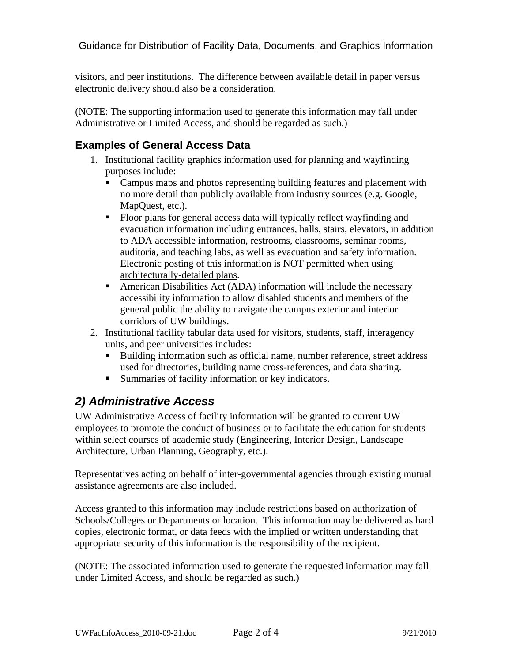visitors, and peer institutions. The difference between available detail in paper versus electronic delivery should also be a consideration.

(NOTE: The supporting information used to generate this information may fall under Administrative or Limited Access, and should be regarded as such.)

#### **Examples of General Access Data**

- 1. Institutional facility graphics information used for planning and wayfinding purposes include:
	- Campus maps and photos representing building features and placement with no more detail than publicly available from industry sources (e.g. Google, MapQuest, etc.).
	- Floor plans for general access data will typically reflect wayfinding and evacuation information including entrances, halls, stairs, elevators, in addition to ADA accessible information, restrooms, classrooms, seminar rooms, auditoria, and teaching labs, as well as evacuation and safety information. Electronic posting of this information is NOT permitted when using architecturally-detailed plans.
	- American Disabilities Act (ADA) information will include the necessary accessibility information to allow disabled students and members of the general public the ability to navigate the campus exterior and interior corridors of UW buildings.
- 2. Institutional facility tabular data used for visitors, students, staff, interagency units, and peer universities includes:
	- Building information such as official name, number reference, street address used for directories, building name cross-references, and data sharing.
	- **Summaries of facility information or key indicators.**

#### *2) Administrative Access*

UW Administrative Access of facility information will be granted to current UW employees to promote the conduct of business or to facilitate the education for students within select courses of academic study (Engineering, Interior Design, Landscape Architecture, Urban Planning, Geography, etc.).

Representatives acting on behalf of inter-governmental agencies through existing mutual assistance agreements are also included.

Access granted to this information may include restrictions based on authorization of Schools/Colleges or Departments or location. This information may be delivered as hard copies, electronic format, or data feeds with the implied or written understanding that appropriate security of this information is the responsibility of the recipient.

(NOTE: The associated information used to generate the requested information may fall under Limited Access, and should be regarded as such.)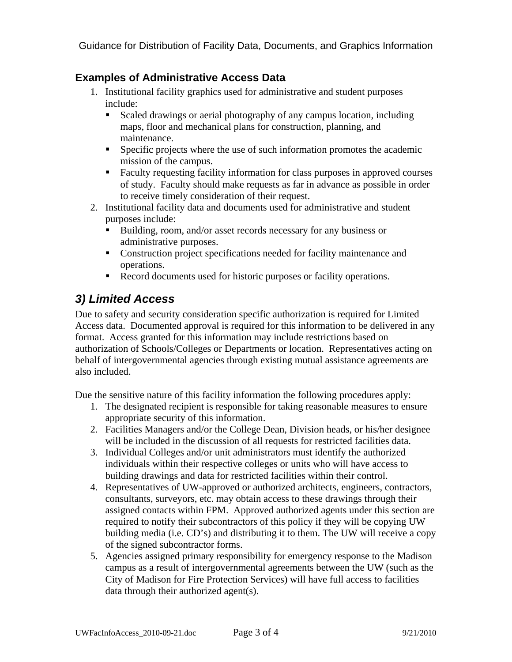Guidance for Distribution of Facility Data, Documents, and Graphics Information

#### **Examples of Administrative Access Data**

- 1. Institutional facility graphics used for administrative and student purposes include:
	- Scaled drawings or aerial photography of any campus location, including maps, floor and mechanical plans for construction, planning, and maintenance.
	- **Specific projects where the use of such information promotes the academic** mission of the campus.
	- Faculty requesting facility information for class purposes in approved courses of study. Faculty should make requests as far in advance as possible in order to receive timely consideration of their request.
- 2. Institutional facility data and documents used for administrative and student purposes include:
	- Building, room, and/or asset records necessary for any business or administrative purposes.
	- Construction project specifications needed for facility maintenance and operations.
	- Record documents used for historic purposes or facility operations.

#### *3) Limited Access*

Due to safety and security consideration specific authorization is required for Limited Access data. Documented approval is required for this information to be delivered in any format. Access granted for this information may include restrictions based on authorization of Schools/Colleges or Departments or location. Representatives acting on behalf of intergovernmental agencies through existing mutual assistance agreements are also included.

Due the sensitive nature of this facility information the following procedures apply:

- 1. The designated recipient is responsible for taking reasonable measures to ensure appropriate security of this information.
- 2. Facilities Managers and/or the College Dean, Division heads, or his/her designee will be included in the discussion of all requests for restricted facilities data.
- 3. Individual Colleges and/or unit administrators must identify the authorized individuals within their respective colleges or units who will have access to building drawings and data for restricted facilities within their control.
- 4. Representatives of UW-approved or authorized architects, engineers, contractors, consultants, surveyors, etc. may obtain access to these drawings through their assigned contacts within FPM. Approved authorized agents under this section are required to notify their subcontractors of this policy if they will be copying UW building media (i.e. CD's) and distributing it to them. The UW will receive a copy of the signed subcontractor forms.
- 5. Agencies assigned primary responsibility for emergency response to the Madison campus as a result of intergovernmental agreements between the UW (such as the City of Madison for Fire Protection Services) will have full access to facilities data through their authorized agent(s).